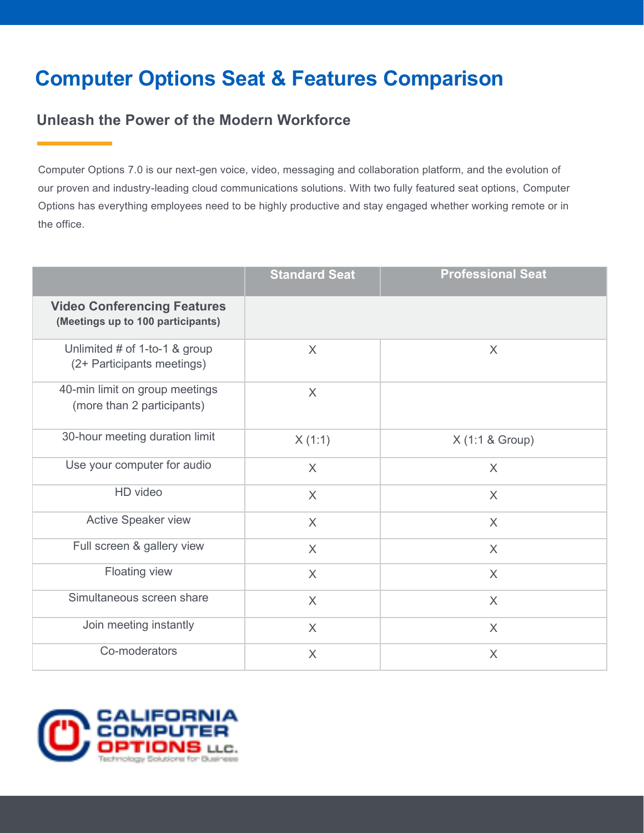## **Computer Options Seat & Features Comparison**

## **Unleash the Power of the Modern Workforce**

Computer Options 7.0 is our next-gen voice, video, messaging and collaboration platform, and the evolution of our proven and industry-leading cloud communications solutions. With two fully featured seat options, Computer Options has everything employees need to be highly productive and stay engaged whether working remote or in the office.

|                                                                         | <b>Standard Seat</b> | <b>Professional Seat</b> |
|-------------------------------------------------------------------------|----------------------|--------------------------|
| <b>Video Conferencing Features</b><br>(Meetings up to 100 participants) |                      |                          |
| Unlimited # of 1-to-1 & group<br>(2+ Participants meetings)             | $\sf X$              | X                        |
| 40-min limit on group meetings<br>(more than 2 participants)            | $\chi$               |                          |
| 30-hour meeting duration limit                                          | X(1:1)               | X (1:1 & Group)          |
| Use your computer for audio                                             | $\sf X$              | X                        |
| HD video                                                                | $\chi$               | $\chi$                   |
| <b>Active Speaker view</b>                                              | $\sf X$              | $\sf X$                  |
| Full screen & gallery view                                              | $\sf X$              | X                        |
| Floating view                                                           | $\sf X$              | X                        |
| Simultaneous screen share                                               | $\sf X$              | X                        |
| Join meeting instantly                                                  | $\sf X$              | X                        |
| Co-moderators                                                           | $\times$             | $\times$                 |

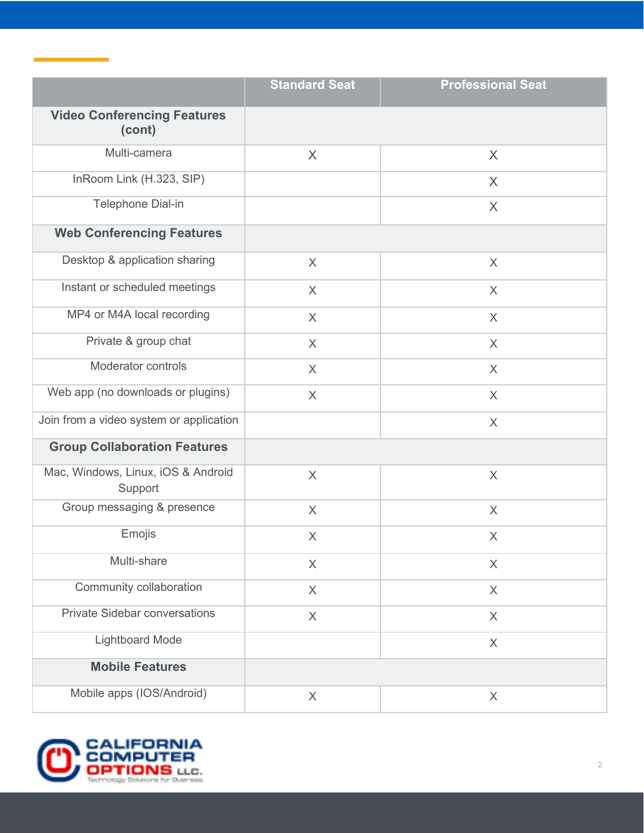|                                               | <b>Standard Seat</b> | <b>Professional Seat</b> |
|-----------------------------------------------|----------------------|--------------------------|
| <b>Video Conferencing Features</b><br>(cont)  |                      |                          |
| Multi-camera                                  | X                    | X                        |
| InRoom Link (H.323, SIP)                      |                      | X                        |
| Telephone Dial-in                             |                      | X                        |
| <b>Web Conferencing Features</b>              |                      |                          |
| Desktop & application sharing                 | $\sf X$              | $\sf X$                  |
| Instant or scheduled meetings                 | X                    | $\sf X$                  |
| MP4 or M4A local recording                    | $\sf X$              | $\sf X$                  |
| Private & group chat                          | $\sf X$              | X                        |
| Moderator controls                            | X                    | X                        |
| Web app (no downloads or plugins)             | $\sf X$              | X                        |
| Join from a video system or application       |                      | X                        |
| <b>Group Collaboration Features</b>           |                      |                          |
| Mac, Windows, Linux, iOS & Android<br>Support | X                    | X                        |
| Group messaging & presence                    | X                    | X                        |
| Emojis                                        | X                    | $\sf X$                  |
| Multi-share                                   | $\sf X$              | X                        |
| Community collaboration                       | $\sf X$              | $\times$                 |
| <b>Private Sidebar conversations</b>          | $\times$             | $\times$                 |
| <b>Lightboard Mode</b>                        |                      | $\times$                 |
| <b>Mobile Features</b>                        |                      |                          |
| Mobile apps (IOS/Android)                     | X                    | X                        |



۰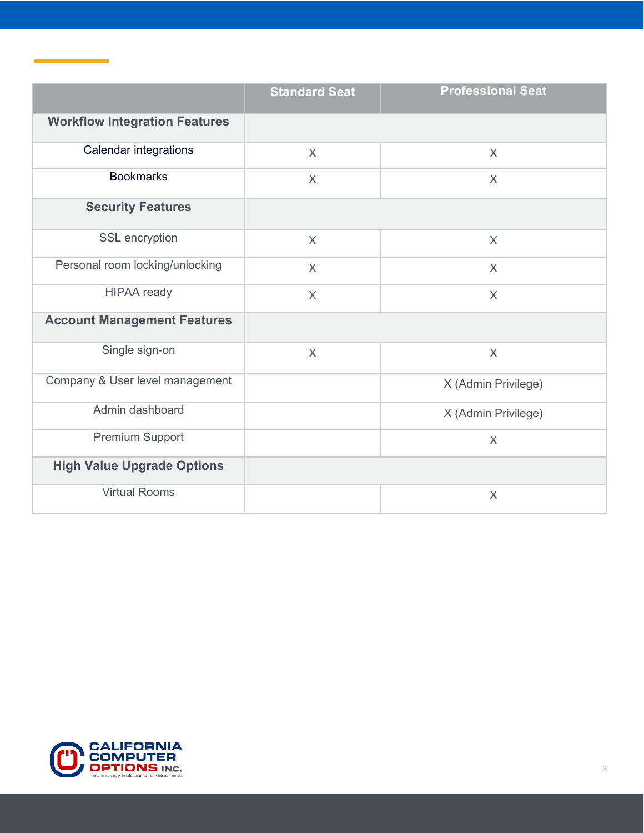|                                      | <b>Standard Seat</b> | <b>Professional Seat</b> |
|--------------------------------------|----------------------|--------------------------|
| <b>Workflow Integration Features</b> |                      |                          |
| <b>Calendar integrations</b>         | $\chi$               | $\sf X$                  |
| <b>Bookmarks</b>                     | $\sf X$              | $\sf X$                  |
| <b>Security Features</b>             |                      |                          |
| SSL encryption                       | $\sf X$              | $\sf X$                  |
| Personal room locking/unlocking      | $\sf X$              | $\chi$                   |
| <b>HIPAA</b> ready                   | $\times$             | $\sf X$                  |
| <b>Account Management Features</b>   |                      |                          |
| Single sign-on                       | $\sf X$              | $\times$                 |
| Company & User level management      |                      | X (Admin Privilege)      |
| Admin dashboard                      |                      | X (Admin Privilege)      |
| Premium Support                      |                      | $\sf X$                  |
| <b>High Value Upgrade Options</b>    |                      |                          |
| <b>Virtual Rooms</b>                 |                      | $\times$                 |



 $\label{eq:2.1} \mathcal{L}(\mathcal{L}^{\text{max}}_{\mathcal{L}}(\mathcal{L}^{\text{max}}_{\mathcal{L}}),\mathcal{L}^{\text{max}}_{\mathcal{L}}(\mathcal{L}^{\text{max}}_{\mathcal{L}}))\geq 0.$